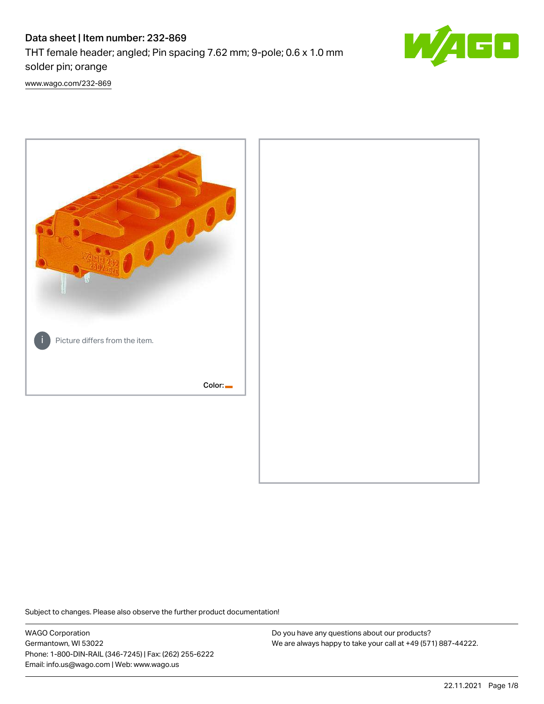# Data sheet | Item number: 232-869

THT female header; angled; Pin spacing 7.62 mm; 9-pole; 0.6 x 1.0 mm solder pin; orange



[www.wago.com/232-869](http://www.wago.com/232-869)



Subject to changes. Please also observe the further product documentation!

WAGO Corporation Germantown, WI 53022 Phone: 1-800-DIN-RAIL (346-7245) | Fax: (262) 255-6222 Email: info.us@wago.com | Web: www.wago.us

Do you have any questions about our products? We are always happy to take your call at +49 (571) 887-44222.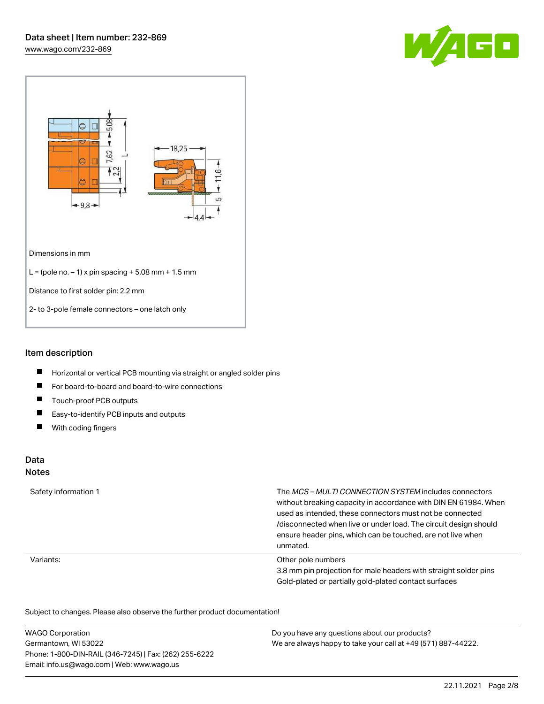



### Item description

- $\blacksquare$ Horizontal or vertical PCB mounting via straight or angled solder pins
- $\blacksquare$ For board-to-board and board-to-wire connections
- $\blacksquare$ Touch-proof PCB outputs
- $\blacksquare$ Easy-to-identify PCB inputs and outputs
- $\blacksquare$ With coding fingers

#### Data Notes

## Safety information 1 The MCS – MULTI CONNECTION SYSTEM includes connectors without breaking capacity in accordance with DIN EN 61984. When used as intended, these connectors must not be connected /disconnected when live or under load. The circuit design should ensure header pins, which can be touched, are not live when unmated. Variants: Other pole numbers 3.8 mm pin projection for male headers with straight solder pins Gold-plated or partially gold-plated contact surfaces

Subject to changes. Please also observe the further product documentation!  $\overline{\mathcal{O}}$ 

| <b>WAGO Corporation</b>                                | Do you have any questions about our products?                 |
|--------------------------------------------------------|---------------------------------------------------------------|
| Germantown, WI 53022                                   | We are always happy to take your call at +49 (571) 887-44222. |
| Phone: 1-800-DIN-RAIL (346-7245)   Fax: (262) 255-6222 |                                                               |
| Email: info.us@wago.com   Web: www.wago.us             |                                                               |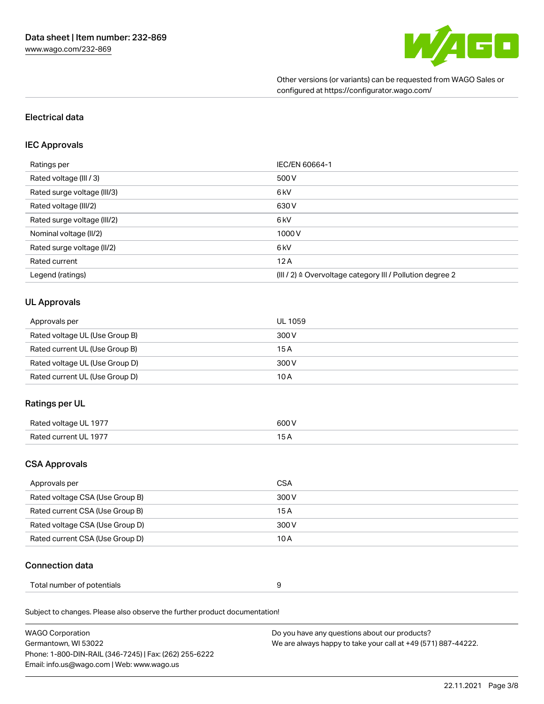

Other versions (or variants) can be requested from WAGO Sales or configured at https://configurator.wago.com/

### Electrical data

#### IEC Approvals

| Ratings per                 | IEC/EN 60664-1                                                        |
|-----------------------------|-----------------------------------------------------------------------|
| Rated voltage (III / 3)     | 500 V                                                                 |
| Rated surge voltage (III/3) | 6 <sub>kV</sub>                                                       |
| Rated voltage (III/2)       | 630 V                                                                 |
| Rated surge voltage (III/2) | 6 <sub>kV</sub>                                                       |
| Nominal voltage (II/2)      | 1000V                                                                 |
| Rated surge voltage (II/2)  | 6 <sub>kV</sub>                                                       |
| Rated current               | 12A                                                                   |
| Legend (ratings)            | $(III / 2)$ $\triangle$ Overvoltage category III / Pollution degree 2 |

#### UL Approvals

| Approvals per                  | UL 1059 |
|--------------------------------|---------|
| Rated voltage UL (Use Group B) | 300 V   |
| Rated current UL (Use Group B) | 15 A    |
| Rated voltage UL (Use Group D) | 300 V   |
| Rated current UL (Use Group D) | 10 A    |

#### Ratings per UL

| Rated voltage<br>) UL 1977      | 300V            |
|---------------------------------|-----------------|
| <b>Pated current</b><br>III 197 | $\cdot$<br>____ |

## CSA Approvals

| Approvals per                   | CSA   |
|---------------------------------|-------|
| Rated voltage CSA (Use Group B) | 300 V |
| Rated current CSA (Use Group B) | 15 A  |
| Rated voltage CSA (Use Group D) | 300 V |
| Rated current CSA (Use Group D) | 10 A  |

#### Connection data

| Total number of potentials<br>. |
|---------------------------------|
|---------------------------------|

Subject to changes. Please also observe the further product documentation!

| <b>WAGO Corporation</b>                                | Do you have any questions about our products?                 |
|--------------------------------------------------------|---------------------------------------------------------------|
| Germantown, WI 53022                                   | We are always happy to take your call at +49 (571) 887-44222. |
| Phone: 1-800-DIN-RAIL (346-7245)   Fax: (262) 255-6222 |                                                               |
| Email: info.us@wago.com   Web: www.wago.us             |                                                               |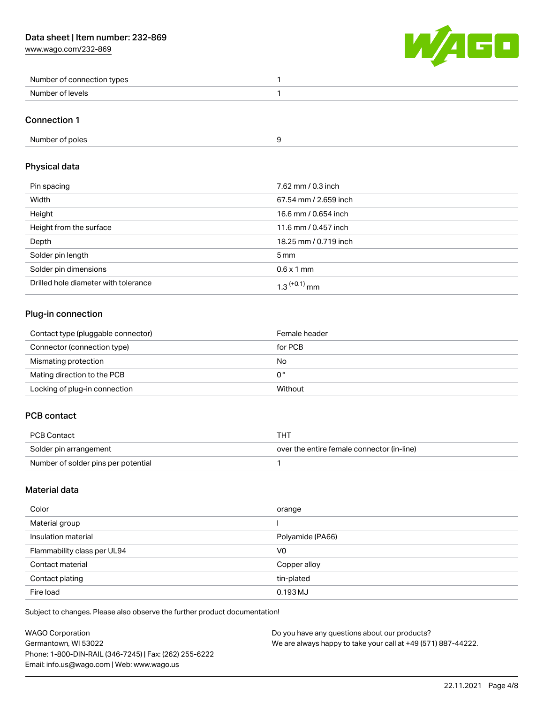[www.wago.com/232-869](http://www.wago.com/232-869)



| Number of connection types |  |
|----------------------------|--|
| Number<br>r of levels.     |  |

#### Connection 1

### Physical data

| Pin spacing                          | 7.62 mm / 0.3 inch    |
|--------------------------------------|-----------------------|
| Width                                | 67.54 mm / 2.659 inch |
| Height                               | 16.6 mm / 0.654 inch  |
| Height from the surface              | 11.6 mm / 0.457 inch  |
| Depth                                | 18.25 mm / 0.719 inch |
| Solder pin length                    | $5 \,\mathrm{mm}$     |
| Solder pin dimensions                | $0.6 \times 1$ mm     |
| Drilled hole diameter with tolerance | $1.3$ $(+0.1)$ mm     |

# Plug-in connection

| Contact type (pluggable connector) | Female header |
|------------------------------------|---------------|
| Connector (connection type)        | for PCB       |
| Mismating protection               | No            |
| Mating direction to the PCB        | 0°            |
| Locking of plug-in connection      | Without       |

## PCB contact

| PCB Contact                         | THT                                        |
|-------------------------------------|--------------------------------------------|
| Solder pin arrangement              | over the entire female connector (in-line) |
| Number of solder pins per potential |                                            |

## Material data

| Color                       | orange           |
|-----------------------------|------------------|
| Material group              |                  |
| Insulation material         | Polyamide (PA66) |
| Flammability class per UL94 | V <sub>0</sub>   |
| Contact material            | Copper alloy     |
| Contact plating             | tin-plated       |
| Fire load                   | $0.193$ MJ       |

Subject to changes. Please also observe the further product documentation!

| <b>WAGO Corporation</b>                                | Do you have any questions about our products?                 |
|--------------------------------------------------------|---------------------------------------------------------------|
| Germantown, WI 53022                                   | We are always happy to take your call at +49 (571) 887-44222. |
| Phone: 1-800-DIN-RAIL (346-7245)   Fax: (262) 255-6222 |                                                               |
| Email: info.us@wago.com   Web: www.wago.us             |                                                               |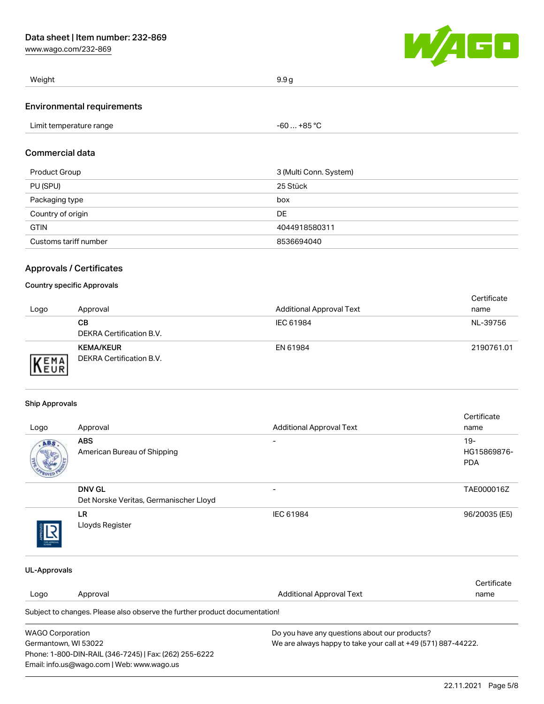[www.wago.com/232-869](http://www.wago.com/232-869)



| Weight<br>ل - | $\ddotsc$ |
|---------------|-----------|
|               |           |

#### Environmental requirements

| Limit temperature range | $-60+85 °C$ |
|-------------------------|-------------|
| .                       |             |

#### Commercial data

| Product Group         | 3 (Multi Conn. System) |
|-----------------------|------------------------|
| PU (SPU)              | 25 Stück               |
| Packaging type        | box                    |
| Country of origin     | DE                     |
| <b>GTIN</b>           | 4044918580311          |
| Customs tariff number | 8536694040             |

#### Approvals / Certificates

#### Country specific Approvals

| Logo | Approval                                     | <b>Additional Approval Text</b> | Certificate<br>name |
|------|----------------------------------------------|---------------------------------|---------------------|
|      | CВ<br>DEKRA Certification B.V.               | IEC 61984                       | NL-39756            |
| EMA  | <b>KEMA/KEUR</b><br>DEKRA Certification B.V. | EN 61984                        | 2190761.01          |

#### Ship Approvals

Phone: 1-800-DIN-RAIL (346-7245) | Fax: (262) 255-6222

Email: info.us@wago.com | Web: www.wago.us

| Logo                                                                                  | Approval                                                                   | <b>Additional Approval Text</b>               | Certificate<br>name |
|---------------------------------------------------------------------------------------|----------------------------------------------------------------------------|-----------------------------------------------|---------------------|
| ABS                                                                                   | <b>ABS</b>                                                                 |                                               | $19-$               |
|                                                                                       | American Bureau of Shipping                                                |                                               | HG15869876-         |
|                                                                                       |                                                                            |                                               | <b>PDA</b>          |
|                                                                                       | <b>DNV GL</b>                                                              |                                               | TAE000016Z          |
|                                                                                       | Det Norske Veritas, Germanischer Lloyd                                     |                                               |                     |
|                                                                                       | <b>LR</b>                                                                  | IEC 61984                                     | 96/20035 (E5)       |
|                                                                                       | Lloyds Register                                                            |                                               |                     |
| <b>UL-Approvals</b>                                                                   |                                                                            |                                               |                     |
|                                                                                       |                                                                            |                                               | Certificate         |
| Logo                                                                                  | Approval                                                                   | <b>Additional Approval Text</b>               | name                |
|                                                                                       | Subject to changes. Please also observe the further product documentation! |                                               |                     |
| <b>WAGO Corporation</b>                                                               |                                                                            | Do you have any questions about our products? |                     |
| We are always happy to take your call at +49 (571) 887-44222.<br>Germantown, WI 53022 |                                                                            |                                               |                     |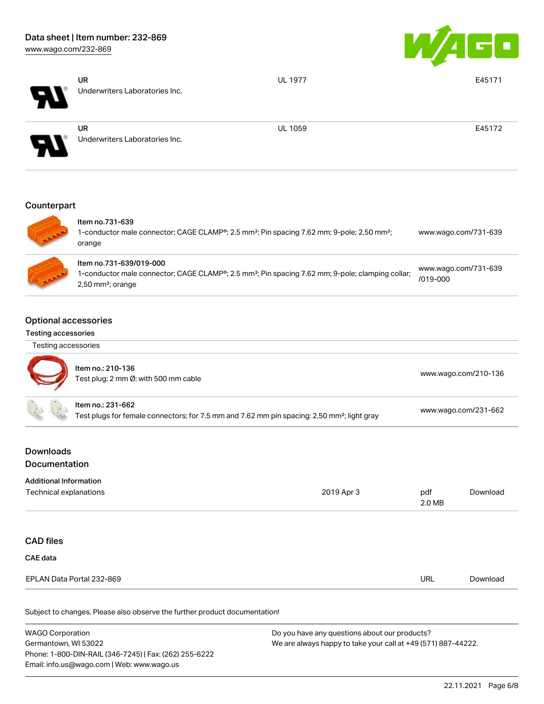

| $\boldsymbol{H}$ | <b>UR</b><br>Underwriters Laboratories Inc. | <b>UL 1977</b> | E45171 |
|------------------|---------------------------------------------|----------------|--------|
| EV.              | <b>UR</b><br>Underwriters Laboratories Inc. | <b>UL 1059</b> | E45172 |
|                  |                                             |                |        |

# **Counterpart**



| ltem no.731-639<br>1-conductor male connector; CAGE CLAMP®; 2.5 mm <sup>2</sup> ; Pin spacing 7.62 mm; 9-pole; 2,50 mm <sup>2</sup> ;<br>orange                                         | www.wago.com/731-639             |
|-----------------------------------------------------------------------------------------------------------------------------------------------------------------------------------------|----------------------------------|
| ltem no.731-639/019-000<br>1-conductor male connector; CAGE CLAMP <sup>®</sup> ; 2.5 mm <sup>2</sup> ; Pin spacing 7.62 mm; 9-pole; clamping collar;<br>$2,50$ mm <sup>2</sup> ; orange | www.wago.com/731-639<br>/019-000 |

### Optional accessories

#### Testing accessories

| Testing accessories |
|---------------------|
|---------------------|



| Item no.: 210-136<br>Test plug; 2 mm Ø; with 500 mm cable                                                                    | www.wago.com/210-136 |
|------------------------------------------------------------------------------------------------------------------------------|----------------------|
| Item no.: 231-662<br>Test plugs for female connectors; for 7.5 mm and 7.62 mm pin spacing; 2,50 mm <sup>2</sup> ; light gray | www.wago.com/231-662 |

## Downloads Documentation

| Technical explanations    | 2019 Apr 3 | pdf<br>2.0 MB | Download |
|---------------------------|------------|---------------|----------|
|                           |            |               |          |
| <b>CAD files</b>          |            |               |          |
| CAE data                  |            |               |          |
| EPLAN Data Portal 232-869 |            | URL           | Download |

Subject to changes. Please also observe the further product documentation!

| <b>WAGO Corporation</b>                                | Do you have any questions about our products?                 |
|--------------------------------------------------------|---------------------------------------------------------------|
| Germantown, WI 53022                                   | We are always happy to take your call at +49 (571) 887-44222. |
| Phone: 1-800-DIN-RAIL (346-7245)   Fax: (262) 255-6222 |                                                               |
| Email: info.us@wago.com   Web: www.wago.us             |                                                               |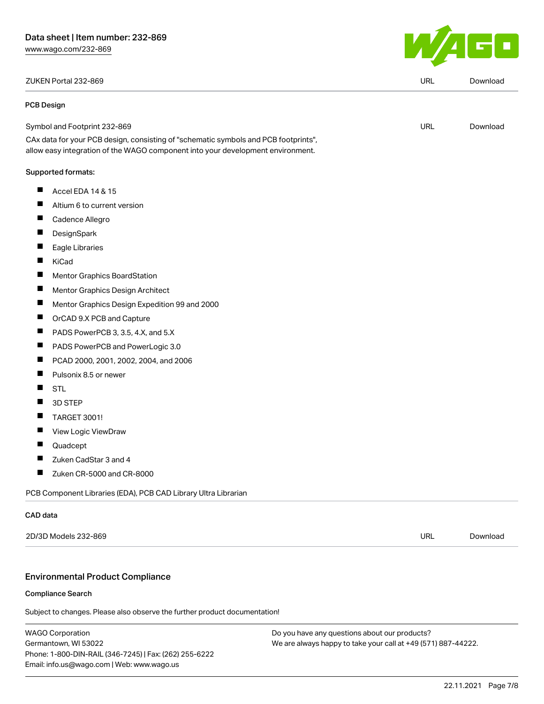#### ZUKEN Portal 232-869 URL [Download](https://www.wago.com/global/d/Zuken_URLS_232-869)

#### PCB Design

| ◡ | <b>DOWITOUT</b> |
|---|-----------------|
|   |                 |
|   |                 |
|   |                 |

| Symbol and Footprint 232-869                                                                                                                                           | URL | Download |
|------------------------------------------------------------------------------------------------------------------------------------------------------------------------|-----|----------|
| CAx data for your PCB design, consisting of "schematic symbols and PCB footprints",<br>allow easy integration of the WAGO component into your development environment. |     |          |
| Supported formats:                                                                                                                                                     |     |          |
| Accel EDA 14 & 15                                                                                                                                                      |     |          |

- $\blacksquare$ Altium 6 to current version
- $\blacksquare$ Cadence Allegro
- П **DesignSpark**
- П Eagle Libraries
- $\blacksquare$ KiCad
- Mentor Graphics BoardStation  $\blacksquare$
- $\blacksquare$ Mentor Graphics Design Architect
- $\blacksquare$ Mentor Graphics Design Expedition 99 and 2000
- $\blacksquare$ OrCAD 9.X PCB and Capture
- $\blacksquare$ PADS PowerPCB 3, 3.5, 4.X, and 5.X
- $\blacksquare$ PADS PowerPCB and PowerLogic 3.0
- П PCAD 2000, 2001, 2002, 2004, and 2006
- $\blacksquare$ Pulsonix 8.5 or newer
- $\blacksquare$ STL
- $\blacksquare$ 3D STEP
- $\blacksquare$ TARGET 3001!
- $\blacksquare$ View Logic ViewDraw
- $\blacksquare$ Quadcept
- $\blacksquare$ Zuken CadStar 3 and 4
- $\blacksquare$ Zuken CR-5000 and CR-8000

PCB Component Libraries (EDA), PCB CAD Library Ultra Librarian

#### CAD data

2D/3D Models 232-869 URL [Download](https://www.wago.com/global/d/3D_URLS_232-869)

#### Environmental Product Compliance

#### Compliance Search

Subject to changes. Please also observe the further product documentation!

WAGO Corporation Germantown, WI 53022 Phone: 1-800-DIN-RAIL (346-7245) | Fax: (262) 255-6222 Email: info.us@wago.com | Web: www.wago.us

Do you have any questions about our products? We are always happy to take your call at +49 (571) 887-44222.